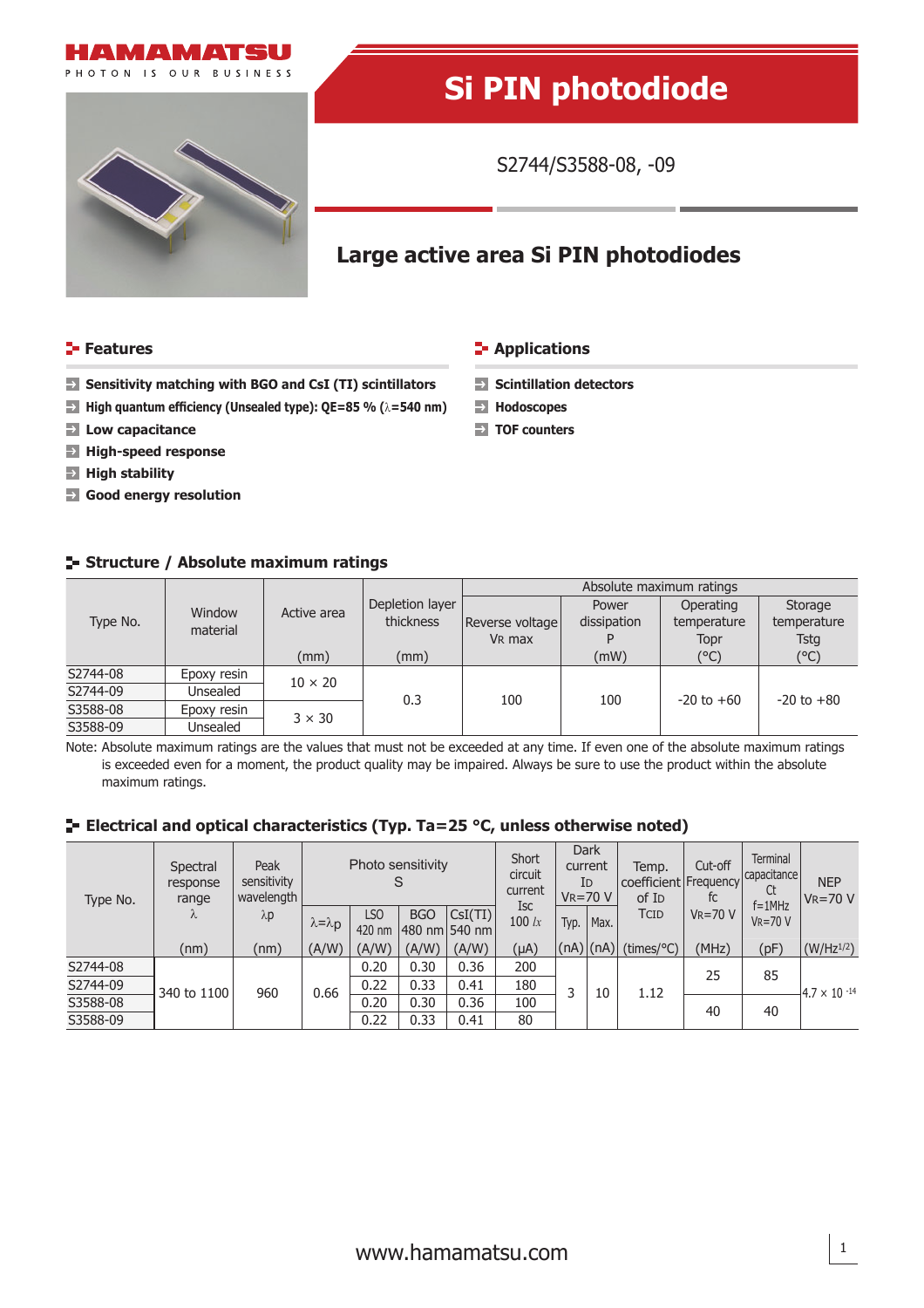



# **Si PIN photodiode**

S2744/S3588-08, -09

## **Large active area Si PIN photodiodes**

#### **Features Contractions Contractions**

**Hodoscopes TOF counters**

- **Sensitivity matching with BGO and CsI (TI) scintillators Solutillation detectors**
- **High quantum effi ciency (Unsealed type): QE=85 % (**λ**=540 nm)**
- **Low capacitance**
- **High-speed response**
- **High stability**
- **Good energy resolution**

### **Structure / Absolute maximum ratings**

| Type No. | Window<br>material | Active area    | Depletion layer | Absolute maximum ratings |             |                |                                               |  |  |  |
|----------|--------------------|----------------|-----------------|--------------------------|-------------|----------------|-----------------------------------------------|--|--|--|
|          |                    |                |                 |                          | Power       | Operating      | Storage<br>temperature<br><b>Tstg</b><br>(°C) |  |  |  |
|          |                    |                | thickness       | Reverse voltage          | dissipation | temperature    |                                               |  |  |  |
|          |                    |                |                 | V <sub>R</sub> max       |             | Topr           |                                               |  |  |  |
|          |                    | (mm)           | (mm)            |                          | (mW)        | (°C)           |                                               |  |  |  |
| S2744-08 | Epoxy resin        | $10 \times 20$ |                 |                          |             |                |                                               |  |  |  |
| S2744-09 | Unsealed           |                | 0.3             | 100                      | 100         | $-20$ to $+60$ | $-20$ to $+80$                                |  |  |  |
| S3588-08 | Epoxy resin        |                |                 |                          |             |                |                                               |  |  |  |
| S3588-09 | Unsealed           | $3 \times 30$  |                 |                          |             |                |                                               |  |  |  |

Note: Absolute maximum ratings are the values that must not be exceeded at any time. If even one of the absolute maximum ratings is exceeded even for a moment, the product quality may be impaired. Always be sure to use the product within the absolute maximum ratings.

#### **E** Electrical and optical characteristics (Typ. Ta=25 °C, unless otherwise noted)

| Type No. | Spectral<br>response<br>range<br>$\Lambda$ | Peak<br>sensitivity<br>wavelength<br>$\lambda p$ | Photo sensitivity     |               |            | Short<br>circuit<br>current | <b>Dark</b><br>current<br>ID<br>$V_R = 70 V$ |  | Temp.<br>coefficient Frequency<br>of I <sub>D</sub> | Cut-off<br>tc          | <b>Terminal</b><br>capacitance<br>Ct<br>$f = 1$ MHz | <b>NEP</b><br>$V_R = 70 V$ |                       |
|----------|--------------------------------------------|--------------------------------------------------|-----------------------|---------------|------------|-----------------------------|----------------------------------------------|--|-----------------------------------------------------|------------------------|-----------------------------------------------------|----------------------------|-----------------------|
|          |                                            |                                                  | $\lambda = \lambda p$ | LSO<br>420 nm | <b>BGO</b> | Csl(TI)<br>480 nm 540 nm    | <b>Isc</b><br>100 $lx$                       |  | Typ.   Max. $\overline{ }$                          | TCID                   | $V_R = 70 V$                                        | $VR = 70 V$                |                       |
|          | (nm)                                       | (nm)                                             | (A/W)                 | (A/W)         | (A/W)      | (A/W)                       | $(\mu A)$                                    |  |                                                     | $(nA)$ (nA) (times/°C) | (MHz)                                               | (pF)                       | $(W/Hz^{1/2})$        |
| S2744-08 | 340 to 1100                                | 960                                              | 0.66                  | 0.20          | 0.30       | 0.36                        | 200                                          |  | 10                                                  | 1.12                   | 25                                                  | 85                         |                       |
| S2744-09 |                                            |                                                  |                       | 0.22          | 0.33       | 0.41                        | 180                                          |  |                                                     |                        |                                                     |                            | $4.7 \times 10^{-14}$ |
| S3588-08 |                                            |                                                  |                       | 0.20          | 0.30       | 0.36                        | 100                                          |  |                                                     |                        | 40                                                  | 40                         |                       |
| S3588-09 |                                            |                                                  |                       | 0.22          | 0.33       | 0.41                        | 80                                           |  |                                                     |                        |                                                     |                            |                       |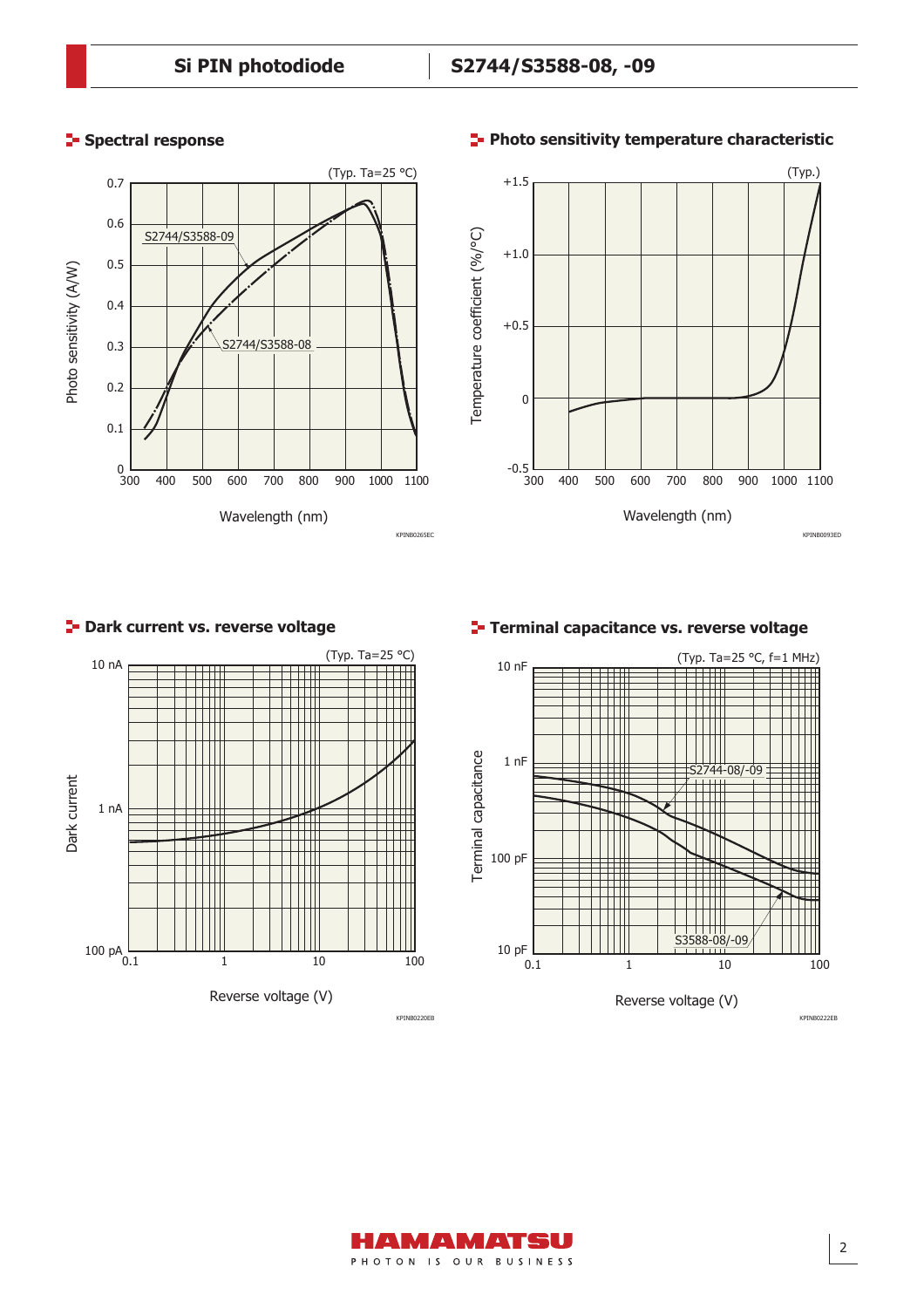#### **Spectral response**





#### **Photo sensitivity temperature characteristic**

#### **P** Dark current vs. reverse voltage



#### **Terminal capacitance vs. reverse voltage**



KPINB0222EB

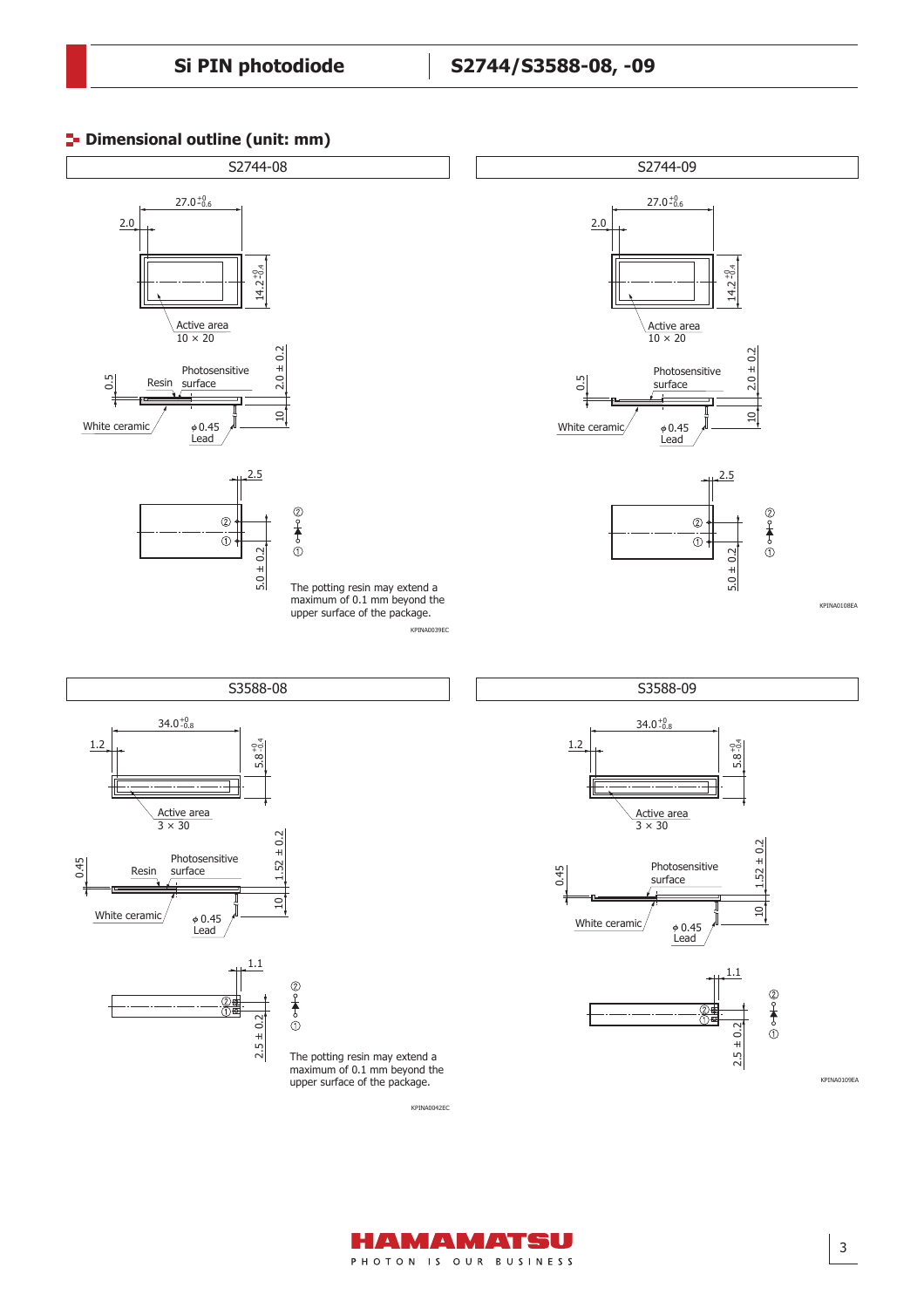#### **<sup>1</sup>** Dimensional outline (unit: mm)





3